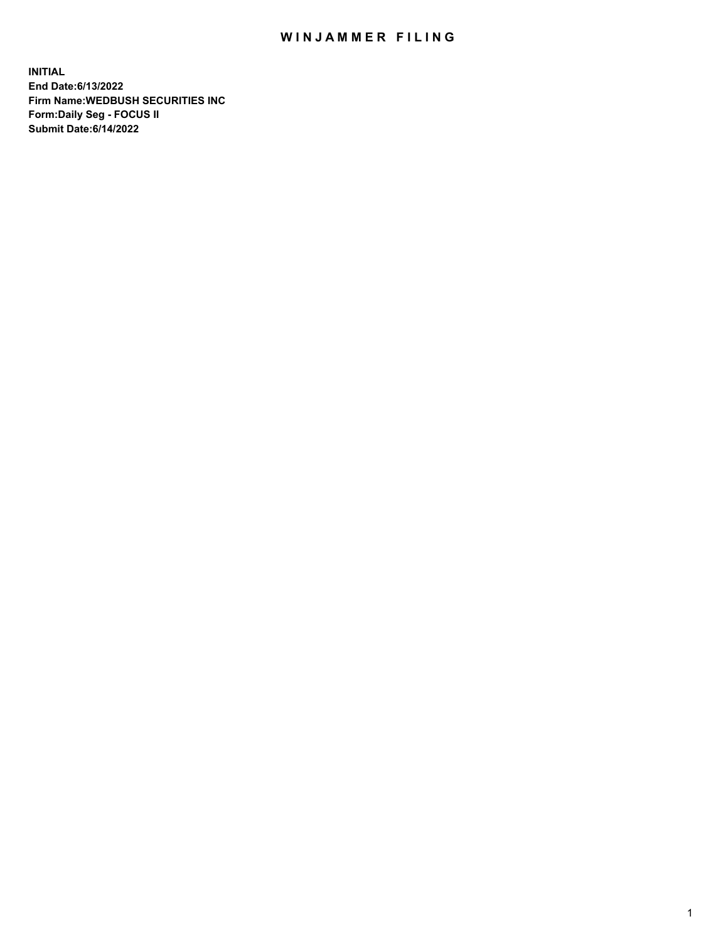## WIN JAMMER FILING

**INITIAL End Date:6/13/2022 Firm Name:WEDBUSH SECURITIES INC Form:Daily Seg - FOCUS II Submit Date:6/14/2022**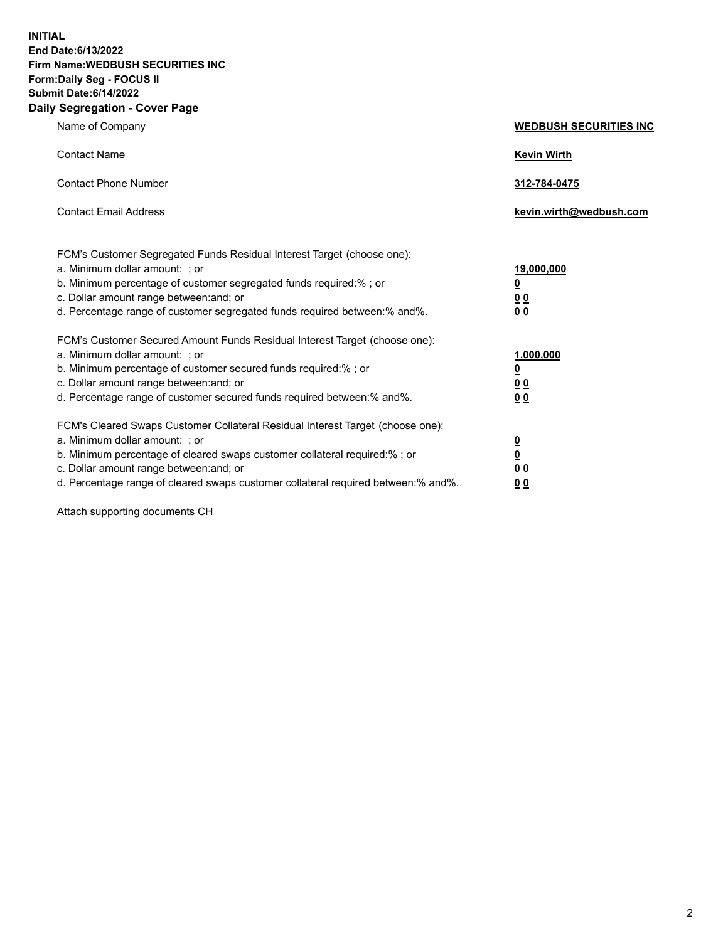**INITIAL End Date:6/13/2022 Firm Name:WEDBUSH SECURITIES INC Form:Daily Seg - FOCUS II Submit Date:6/14/2022 Daily Segregation - Cover Page**

| Name of Company                                                                                                                                                                                                                                                                                       | <b>WEDBUSH SECURITIES INC</b>                                        |
|-------------------------------------------------------------------------------------------------------------------------------------------------------------------------------------------------------------------------------------------------------------------------------------------------------|----------------------------------------------------------------------|
| <b>Contact Name</b>                                                                                                                                                                                                                                                                                   | <b>Kevin Wirth</b>                                                   |
| <b>Contact Phone Number</b>                                                                                                                                                                                                                                                                           | 312-784-0475                                                         |
| <b>Contact Email Address</b>                                                                                                                                                                                                                                                                          | kevin.wirth@wedbush.com                                              |
| FCM's Customer Segregated Funds Residual Interest Target (choose one):<br>a. Minimum dollar amount: ; or<br>b. Minimum percentage of customer segregated funds required:%; or<br>c. Dollar amount range between: and; or<br>d. Percentage range of customer segregated funds required between:% and%. | 19,000,000<br><u>0</u><br><u>00</u><br>0 <sub>0</sub>                |
| FCM's Customer Secured Amount Funds Residual Interest Target (choose one):<br>a. Minimum dollar amount: ; or<br>b. Minimum percentage of customer secured funds required:%; or<br>c. Dollar amount range between: and; or<br>d. Percentage range of customer secured funds required between:% and%.   | 1,000,000<br><u>0</u><br>00<br>0 <sub>0</sub>                        |
| FCM's Cleared Swaps Customer Collateral Residual Interest Target (choose one):<br>a. Minimum dollar amount: ; or<br>b. Minimum percentage of cleared swaps customer collateral required:% ; or<br>c. Dollar amount range between: and; or                                                             | $\overline{\mathbf{0}}$<br>$\overline{\mathbf{0}}$<br>0 <sub>0</sub> |

d. Percentage range of cleared swaps customer collateral required between:% and%. **0 0**

Attach supporting documents CH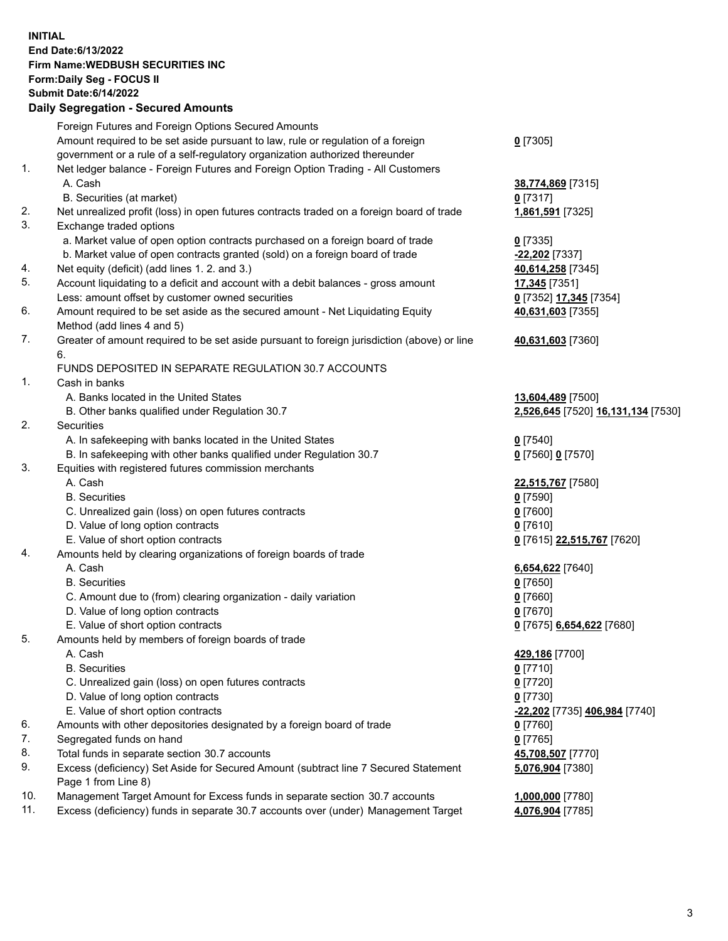**INITIAL End Date:6/13/2022 Firm Name:WEDBUSH SECURITIES INC Form:Daily Seg - FOCUS II Submit Date:6/14/2022 Daily Segregation - Secured Amounts**

|     | 2011, Ocgi ogation - Oceanea Anioanita                                                      |                                    |
|-----|---------------------------------------------------------------------------------------------|------------------------------------|
|     | Foreign Futures and Foreign Options Secured Amounts                                         |                                    |
|     | Amount required to be set aside pursuant to law, rule or regulation of a foreign            | $0$ [7305]                         |
|     | government or a rule of a self-regulatory organization authorized thereunder                |                                    |
| 1.  | Net ledger balance - Foreign Futures and Foreign Option Trading - All Customers             |                                    |
|     | A. Cash                                                                                     | 38,774,869 [7315]                  |
|     | B. Securities (at market)                                                                   | $0$ [7317]                         |
| 2.  | Net unrealized profit (loss) in open futures contracts traded on a foreign board of trade   | 1,861,591 [7325]                   |
| 3.  | Exchange traded options                                                                     |                                    |
|     | a. Market value of open option contracts purchased on a foreign board of trade              | $0$ [7335]                         |
|     | b. Market value of open contracts granted (sold) on a foreign board of trade                | -22,202 [7337]                     |
| 4.  | Net equity (deficit) (add lines 1. 2. and 3.)                                               | 40,614,258 [7345]                  |
| 5.  | Account liquidating to a deficit and account with a debit balances - gross amount           | 17,345 [7351]                      |
|     | Less: amount offset by customer owned securities                                            | 0 [7352] 17,345 [7354]             |
| 6.  | Amount required to be set aside as the secured amount - Net Liquidating Equity              | 40,631,603 [7355]                  |
|     | Method (add lines 4 and 5)                                                                  |                                    |
| 7.  | Greater of amount required to be set aside pursuant to foreign jurisdiction (above) or line | 40,631,603 [7360]                  |
|     | 6.                                                                                          |                                    |
|     | FUNDS DEPOSITED IN SEPARATE REGULATION 30.7 ACCOUNTS                                        |                                    |
| 1.  | Cash in banks                                                                               |                                    |
|     | A. Banks located in the United States                                                       | 13,604,489 [7500]                  |
|     | B. Other banks qualified under Regulation 30.7                                              | 2,526,645 [7520] 16,131,134 [7530] |
| 2.  | Securities                                                                                  |                                    |
|     | A. In safekeeping with banks located in the United States                                   | $0$ [7540]                         |
|     | B. In safekeeping with other banks qualified under Regulation 30.7                          | 0 [7560] 0 [7570]                  |
| 3.  | Equities with registered futures commission merchants                                       |                                    |
|     | A. Cash                                                                                     | 22,515,767 [7580]                  |
|     | <b>B.</b> Securities                                                                        | $0$ [7590]                         |
|     | C. Unrealized gain (loss) on open futures contracts                                         | $0$ [7600]                         |
|     | D. Value of long option contracts                                                           | $0$ [7610]                         |
|     | E. Value of short option contracts                                                          | 0 [7615] 22,515,767 [7620]         |
| 4.  | Amounts held by clearing organizations of foreign boards of trade                           |                                    |
|     | A. Cash                                                                                     | 6,654,622 [7640]                   |
|     | <b>B.</b> Securities                                                                        | $0$ [7650]                         |
|     | C. Amount due to (from) clearing organization - daily variation                             | $0$ [7660]                         |
|     | D. Value of long option contracts                                                           | $0$ [7670]                         |
|     | E. Value of short option contracts                                                          | 0 [7675] 6,654,622 [7680]          |
| 5.  | Amounts held by members of foreign boards of trade                                          |                                    |
|     | A. Cash                                                                                     | 429,186 [7700]                     |
|     | <b>B.</b> Securities                                                                        | $0$ [7710]                         |
|     | C. Unrealized gain (loss) on open futures contracts                                         | $0$ [7720]                         |
|     | D. Value of long option contracts                                                           | 0 [7730]                           |
|     | E. Value of short option contracts                                                          | -22,202 [7735] 406,984 [7740]      |
| 6.  | Amounts with other depositories designated by a foreign board of trade                      | 0 [7760]                           |
| 7.  | Segregated funds on hand                                                                    | <u>0</u> [7765]                    |
| 8.  | Total funds in separate section 30.7 accounts                                               | 45,708,507 [7770]                  |
| 9.  | Excess (deficiency) Set Aside for Secured Amount (subtract line 7 Secured Statement         | 5,076,904 [7380]                   |
|     | Page 1 from Line 8)                                                                         |                                    |
| 10. | Management Target Amount for Excess funds in separate section 30.7 accounts                 | 1,000,000 [7780]                   |
| 11. | Excess (deficiency) funds in separate 30.7 accounts over (under) Management Target          | 4,076,904 [7785]                   |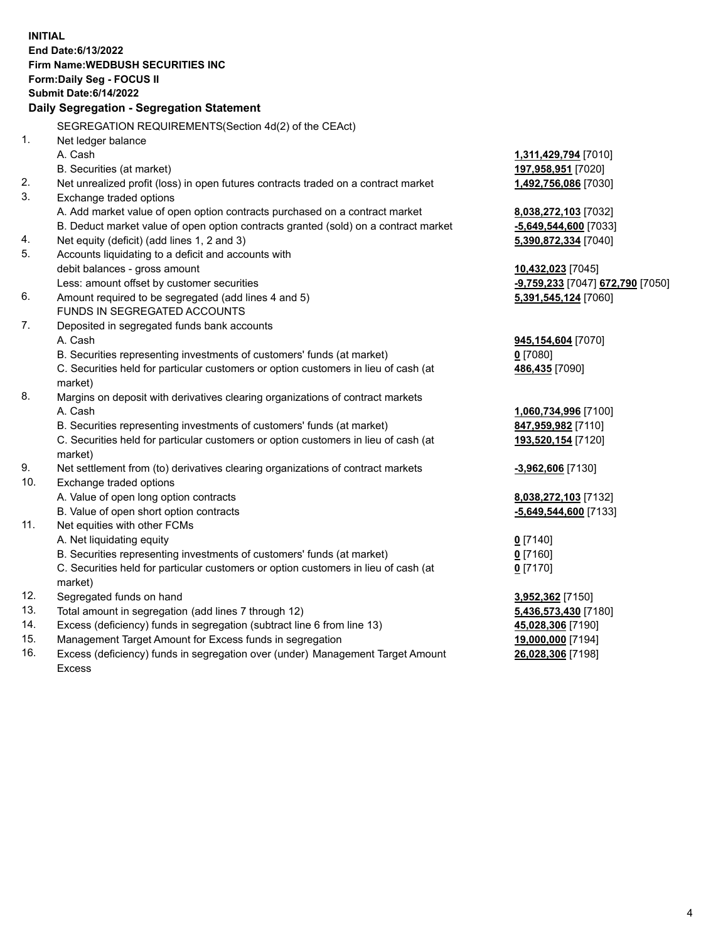|     | <b>INITIAL</b>                                                                      |                                  |
|-----|-------------------------------------------------------------------------------------|----------------------------------|
|     | End Date: 6/13/2022                                                                 |                                  |
|     | Firm Name: WEDBUSH SECURITIES INC                                                   |                                  |
|     | Form: Daily Seg - FOCUS II                                                          |                                  |
|     | <b>Submit Date:6/14/2022</b>                                                        |                                  |
|     | Daily Segregation - Segregation Statement                                           |                                  |
|     | SEGREGATION REQUIREMENTS(Section 4d(2) of the CEAct)                                |                                  |
| 1.  | Net ledger balance                                                                  |                                  |
|     | A. Cash                                                                             | 1,311,429,794 [7010]             |
|     | B. Securities (at market)                                                           | 197,958,951 [7020]               |
| 2.  | Net unrealized profit (loss) in open futures contracts traded on a contract market  | 1,492,756,086 [7030]             |
| 3.  | Exchange traded options                                                             |                                  |
|     | A. Add market value of open option contracts purchased on a contract market         | 8,038,272,103 [7032]             |
|     | B. Deduct market value of open option contracts granted (sold) on a contract market | -5,649,544,600 [7033]            |
| 4.  | Net equity (deficit) (add lines 1, 2 and 3)                                         | 5,390,872,334 [7040]             |
| 5.  | Accounts liquidating to a deficit and accounts with                                 |                                  |
|     | debit balances - gross amount                                                       | 10,432,023 [7045]                |
|     | Less: amount offset by customer securities                                          | -9,759,233 [7047] 672,790 [7050] |
| 6.  | Amount required to be segregated (add lines 4 and 5)                                | 5,391,545,124 [7060]             |
|     | FUNDS IN SEGREGATED ACCOUNTS                                                        |                                  |
| 7.  | Deposited in segregated funds bank accounts                                         |                                  |
|     | A. Cash                                                                             | 945,154,604 [7070]               |
|     | B. Securities representing investments of customers' funds (at market)              | $0$ [7080]                       |
|     | C. Securities held for particular customers or option customers in lieu of cash (at | 486,435 [7090]                   |
|     | market)                                                                             |                                  |
| 8.  | Margins on deposit with derivatives clearing organizations of contract markets      |                                  |
|     | A. Cash                                                                             | 1,060,734,996 [7100]             |
|     | B. Securities representing investments of customers' funds (at market)              | 847,959,982 [7110]               |
|     | C. Securities held for particular customers or option customers in lieu of cash (at | 193,520,154 [7120]               |
|     | market)                                                                             |                                  |
| 9.  | Net settlement from (to) derivatives clearing organizations of contract markets     | -3,962,606 [7130]                |
| 10. | Exchange traded options                                                             |                                  |
|     | A. Value of open long option contracts                                              | 8,038,272,103 [7132]             |
|     | B. Value of open short option contracts                                             | -5,649,544,600 [7133]            |
| 11. | Net equities with other FCMs                                                        |                                  |
|     | A. Net liquidating equity                                                           | $0$ [7140]                       |
|     | B. Securities representing investments of customers' funds (at market)              | $0$ [7160]                       |
|     | C. Securities held for particular customers or option customers in lieu of cash (at | 0 <sup>[7170]</sup>              |
|     | market)                                                                             |                                  |
| 12. | Segregated funds on hand                                                            | 3,952,362 [7150]                 |
| 13. | Total amount in segregation (add lines 7 through 12)                                | 5,436,573,430 [7180]             |
| 14. | Excess (deficiency) funds in segregation (subtract line 6 from line 13)             | 45,028,306 [7190]                |
| 15. | Management Target Amount for Excess funds in segregation                            | 19,000,000 [7194]                |
| 16. | Excess (deficiency) funds in segregation over (under) Management Target Amount      | 26,028,306 [7198]                |

16. Excess (deficiency) funds in segregation over (under) Management Target Amount Excess